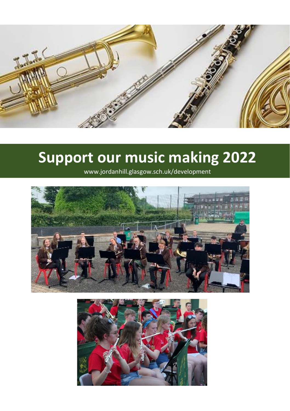

## **Support our music making 2022**

www.jordanhill.glasgow.sch.uk/development



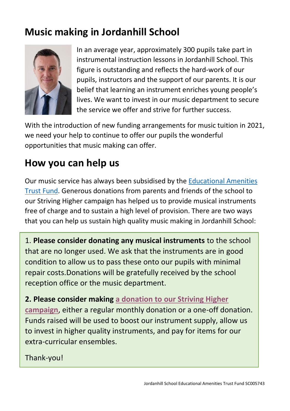## **Music making in Jordanhill School**



In an average year, approximately 300 pupils take part in instrumental instruction lessons in Jordanhill School. This figure is outstanding and reflects the hard-work of our pupils, instructors and the support of our parents. It is our belief that learning an instrument enriches young people's lives. We want to invest in our music department to secure the service we offer and strive for further success.

With the introduction of new funding arrangements for music tuition in 2021, we need your help to continue to offer our pupils the wonderful opportunities that music making can offer.

## **How you can help us**

Our music service has always been subsidised by the [Educational Amenities](https://www.jordanhill.glasgow.sch.uk/education-amenities-trust/)  [Trust Fund.](https://www.jordanhill.glasgow.sch.uk/education-amenities-trust/) Generous donations from parents and friends of the school to our Striving Higher campaign has helped us to provide musical instruments free of charge and to sustain a high level of provision. There are two ways that you can help us sustain high quality music making in Jordanhill School:

1. **Please consider donating any musical instruments** to the school that are no longer used. We ask that the instruments are in good condition to allow us to pass these onto our pupils with minimal repair costs.Donations will be gratefully received by the school reception office or the music department.

**2. Please consider making [a donation to our Striving Higher](https://www.totalgiving.co.uk/appeal/strivinghigher/donate)  [campaign](https://www.totalgiving.co.uk/appeal/strivinghigher/donate)**, either a regular monthly donation or a one-off donation. Funds raised will be used to boost our instrument supply, allow us to invest in higher quality instruments, and pay for items for our extra-curricular ensembles.

Thank-you!